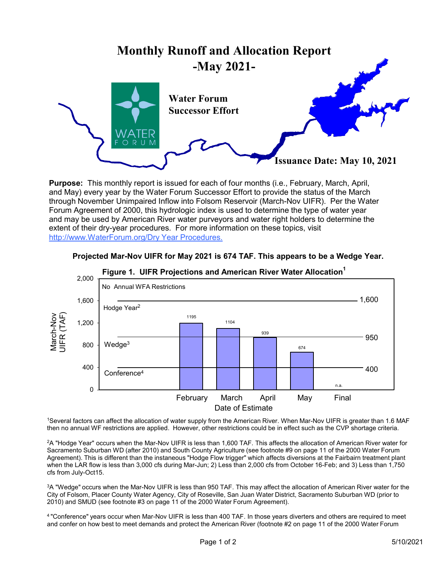## **Monthly Runoff and Allocation Report -May 2021-**



**Purpose:** This monthly report is issued for each of four months (i.e., February, March, April, and May) every year by the Water Forum Successor Effort to provide the status of the March through November Unimpaired Inflow into Folsom Reservoir (March-Nov UIFR). Per the Water Forum Agreement of 2000, this hydrologic index is used to determine the type of water year and may be used by American River water purveyors and water right holders to determine the extent of their dry-year procedures. For more information on these topics, visit http://www.WaterForum.org/Dry Year Procedures.



## **Projected Mar-Nov UIFR for May 2021 is 674 TAF. This appears to be a Wedge Year.**

1Several factors can affect the allocation of water supply from the American River. When Mar-Nov UIFR is greater than 1.6 MAF then no annual WF restrictions are applied. However, other restrictions could be in effect such as the CVP shortage criteria.

2A "Hodge Year" occurs when the Mar-Nov UIFR is less than 1,600 TAF. This affects the allocation of American River water for Sacramento Suburban WD (after 2010) and South County Agriculture (see footnote #9 on page 11 of the 2000 Water Forum Agreement). This is different than the instaneous "Hodge Flow trigger" which affects diversions at the Fairbairn treatment plant when the LAR flow is less than 3,000 cfs during Mar-Jun; 2) Less than 2,000 cfs from October 16-Feb; and 3) Less than 1,750 cfs from July-Oct15.

3A "Wedge" occurs when the Mar-Nov UIFR is less than 950 TAF. This may affect the allocation of American River water for the City of Folsom, Placer County Water Agency, City of Roseville, San Juan Water District, Sacramento Suburban WD (prior to 2010) and SMUD (see footnote #3 on page 11 of the 2000 Water Forum Agreement).

4 "Conference" years occur when Mar-Nov UIFR is less than 400 TAF. In those years diverters and others are required to meet and confer on how best to meet demands and protect the American River (footnote #2 on page 11 of the 2000 Water Forum